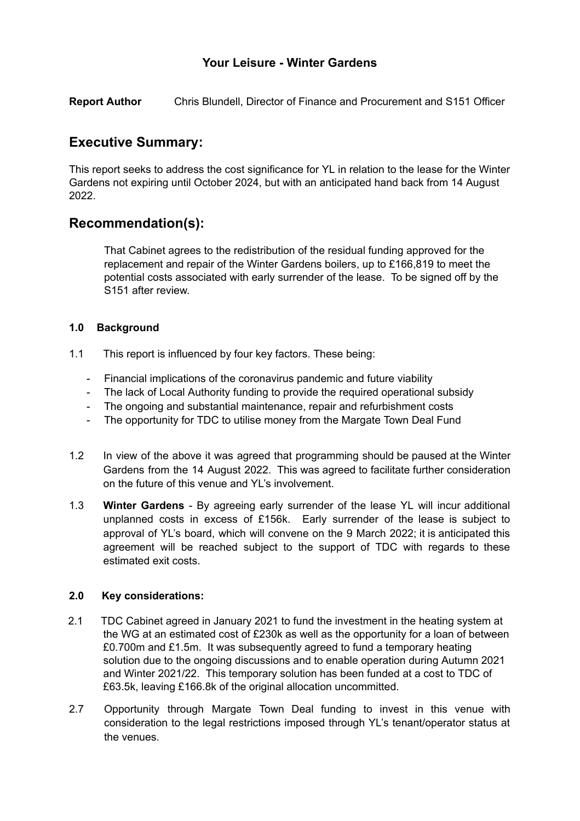## **Your Leisure - Winter Gardens**

**Report Author** Chris Blundell, Director of Finance and Procurement and S151 Officer

# **Executive Summary:**

This report seeks to address the cost significance for YL in relation to the lease for the Winter Gardens not expiring until October 2024, but with an anticipated hand back from 14 August 2022.

## **Recommendation(s):**

That Cabinet agrees to the redistribution of the residual funding approved for the replacement and repair of the Winter Gardens boilers, up to £166,819 to meet the potential costs associated with early surrender of the lease. To be signed off by the S151 after review.

## **1.0 Background**

- 1.1 This report is influenced by four key factors. These being:
	- Financial implications of the coronavirus pandemic and future viability
	- The lack of Local Authority funding to provide the required operational subsidy
	- The ongoing and substantial maintenance, repair and refurbishment costs
	- The opportunity for TDC to utilise money from the Margate Town Deal Fund
- 1.2 In view of the above it was agreed that programming should be paused at the Winter Gardens from the 14 August 2022. This was agreed to facilitate further consideration on the future of this venue and YL's involvement.
- 1.3 **Winter Gardens** By agreeing early surrender of the lease YL will incur additional unplanned costs in excess of £156k. Early surrender of the lease is subject to approval of YL's board, which will convene on the 9 March 2022; it is anticipated this agreement will be reached subject to the support of TDC with regards to these estimated exit costs.

#### **2.0 Key considerations:**

- 2.1 TDC Cabinet agreed in January 2021 to fund the investment in the heating system at the WG at an estimated cost of £230k as well as the opportunity for a loan of between £0.700m and £1.5m. It was subsequently agreed to fund a temporary heating solution due to the ongoing discussions and to enable operation during Autumn 2021 and Winter 2021/22. This temporary solution has been funded at a cost to TDC of £63.5k, leaving £166.8k of the original allocation uncommitted.
- 2.7 Opportunity through Margate Town Deal funding to invest in this venue with consideration to the legal restrictions imposed through YL's tenant/operator status at the venues.